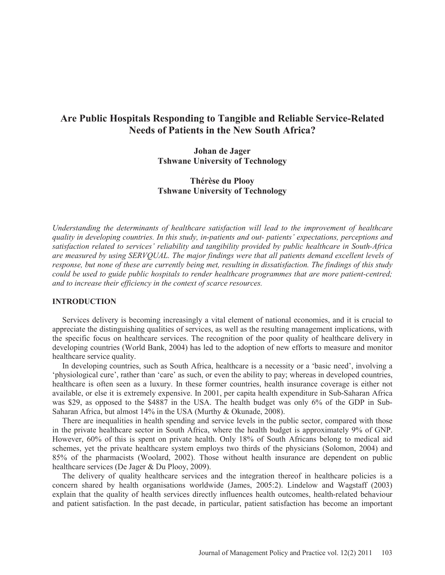# **Are Public Hospitals Responding to Tangible and Reliable Service-Related Needs of Patients in the New South Africa?**

**Johan de Jager Tshwane University of Technology** 

## **Thérèse du Plooy Tshwane University of Technology**

*Understanding the determinants of healthcare satisfaction will lead to the improvement of healthcare quality in developing countries. In this study, in-patients and out- patients' expectations, perceptions and satisfaction related to services' reliability and tangibility provided by public healthcare in South-Africa are measured by using SERVQUAL. The major findings were that all patients demand excellent levels of response, but none of these are currently being met, resulting in dissatisfaction. The findings of this study could be used to guide public hospitals to render healthcare programmes that are more patient-centred; and to increase their efficiency in the context of scarce resources.* 

#### **INTRODUCTION**

 Services delivery is becoming increasingly a vital element of national economies, and it is crucial to appreciate the distinguishing qualities of services, as well as the resulting management implications, with the specific focus on healthcare services. The recognition of the poor quality of healthcare delivery in developing countries (World Bank, 2004) has led to the adoption of new efforts to measure and monitor healthcare service quality.

 In developing countries, such as South Africa, healthcare is a necessity or a 'basic need', involving a 'physiological cure', rather than 'care' as such, or even the ability to pay; whereas in developed countries, healthcare is often seen as a luxury. In these former countries, health insurance coverage is either not available, or else it is extremely expensive. In 2001, per capita health expenditure in Sub-Saharan Africa was \$29, as opposed to the \$4887 in the USA. The health budget was only 6% of the GDP in Sub-Saharan Africa, but almost 14% in the USA (Murthy & Okunade, 2008).

 There are inequalities in health spending and service levels in the public sector, compared with those in the private healthcare sector in South Africa, where the health budget is approximately 9% of GNP. However, 60% of this is spent on private health. Only 18% of South Africans belong to medical aid schemes, yet the private healthcare system employs two thirds of the physicians (Solomon, 2004) and 85% of the pharmacists (Woolard, 2002). Those without health insurance are dependent on public healthcare services (De Jager & Du Plooy, 2009).

 The delivery of quality healthcare services and the integration thereof in healthcare policies is a concern shared by health organisations worldwide (James, 2005:2). Lindelow and Wagstaff (2003) explain that the quality of health services directly influences health outcomes, health-related behaviour and patient satisfaction. In the past decade, in particular, patient satisfaction has become an important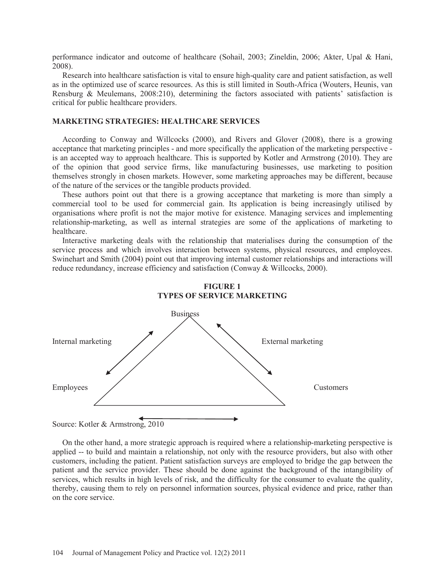performance indicator and outcome of healthcare (Sohail, 2003; Zineldin, 2006; Akter, Upal & Hani, 2008).

 Research into healthcare satisfaction is vital to ensure high-quality care and patient satisfaction, as well as in the optimized use of scarce resources. As this is still limited in South-Africa (Wouters, Heunis, van Rensburg & Meulemans, 2008:210), determining the factors associated with patients' satisfaction is critical for public healthcare providers.

#### **MARKETING STRATEGIES: HEALTHCARE SERVICES**

 According to Conway and Willcocks (2000), and Rivers and Glover (2008), there is a growing acceptance that marketing principles - and more specifically the application of the marketing perspective is an accepted way to approach healthcare. This is supported by Kotler and Armstrong (2010). They are of the opinion that good service firms, like manufacturing businesses, use marketing to position themselves strongly in chosen markets. However, some marketing approaches may be different, because of the nature of the services or the tangible products provided.

 These authors point out that there is a growing acceptance that marketing is more than simply a commercial tool to be used for commercial gain. Its application is being increasingly utilised by organisations where profit is not the major motive for existence. Managing services and implementing relationship-marketing, as well as internal strategies are some of the applications of marketing to healthcare.

 Interactive marketing deals with the relationship that materialises during the consumption of the service process and which involves interaction between systems, physical resources, and employees. Swinehart and Smith (2004) point out that improving internal customer relationships and interactions will reduce redundancy, increase efficiency and satisfaction (Conway & Willcocks, 2000).





Source: Kotler & Armstrong, 2010

 On the other hand, a more strategic approach is required where a relationship-marketing perspective is applied -- to build and maintain a relationship, not only with the resource providers, but also with other customers, including the patient. Patient satisfaction surveys are employed to bridge the gap between the patient and the service provider. These should be done against the background of the intangibility of services, which results in high levels of risk, and the difficulty for the consumer to evaluate the quality, thereby, causing them to rely on personnel information sources, physical evidence and price, rather than on the core service.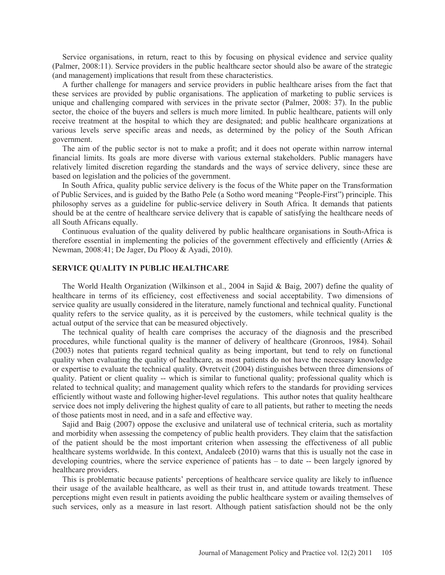Service organisations, in return, react to this by focusing on physical evidence and service quality (Palmer, 2008:11). Service providers in the public healthcare sector should also be aware of the strategic (and management) implications that result from these characteristics.

 A further challenge for managers and service providers in public healthcare arises from the fact that these services are provided by public organisations. The application of marketing to public services is unique and challenging compared with services in the private sector (Palmer, 2008: 37). In the public sector, the choice of the buyers and sellers is much more limited. In public healthcare, patients will only receive treatment at the hospital to which they are designated; and public healthcare organizations at various levels serve specific areas and needs, as determined by the policy of the South African government.

 The aim of the public sector is not to make a profit; and it does not operate within narrow internal financial limits. Its goals are more diverse with various external stakeholders. Public managers have relatively limited discretion regarding the standards and the ways of service delivery, since these are based on legislation and the policies of the government.

 In South Africa, quality public service delivery is the focus of the White paper on the Transformation of Public Services, and is guided by the Batho Pele (a Sotho word meaning "People-First") principle. This philosophy serves as a guideline for public-service delivery in South Africa. It demands that patients should be at the centre of healthcare service delivery that is capable of satisfying the healthcare needs of all South Africans equally.

 Continuous evaluation of the quality delivered by public healthcare organisations in South-Africa is therefore essential in implementing the policies of the government effectively and efficiently (Arries  $\&$ Newman, 2008:41; De Jager, Du Plooy & Ayadi, 2010).

#### **SERVICE QUALITY IN PUBLIC HEALTHCARE**

 The World Health Organization (Wilkinson et al., 2004 in Sajid & Baig, 2007) define the quality of healthcare in terms of its efficiency, cost effectiveness and social acceptability. Two dimensions of service quality are usually considered in the literature, namely functional and technical quality. Functional quality refers to the service quality, as it is perceived by the customers, while technical quality is the actual output of the service that can be measured objectively.

 The technical quality of health care comprises the accuracy of the diagnosis and the prescribed procedures, while functional quality is the manner of delivery of healthcare (Gronroos, 1984). Sohail (2003) notes that patients regard technical quality as being important, but tend to rely on functional quality when evaluating the quality of healthcare, as most patients do not have the necessary knowledge or expertise to evaluate the technical quality. Øvretveit (2004) distinguishes between three dimensions of quality. Patient or client quality -- which is similar to functional quality; professional quality which is related to technical quality; and management quality which refers to the standards for providing services efficiently without waste and following higher-level regulations. This author notes that quality healthcare service does not imply delivering the highest quality of care to all patients, but rather to meeting the needs of those patients most in need, and in a safe and effective way.

 Sajid and Baig (2007) oppose the exclusive and unilateral use of technical criteria, such as mortality and morbidity when assessing the competency of public health providers. They claim that the satisfaction of the patient should be the most important criterion when assessing the effectiveness of all public healthcare systems worldwide. In this context, Andaleeb (2010) warns that this is usually not the case in developing countries, where the service experience of patients has – to date -- been largely ignored by healthcare providers.

 This is problematic because patients' perceptions of healthcare service quality are likely to influence their usage of the available healthcare, as well as their trust in, and attitude towards treatment. These perceptions might even result in patients avoiding the public healthcare system or availing themselves of such services, only as a measure in last resort. Although patient satisfaction should not be the only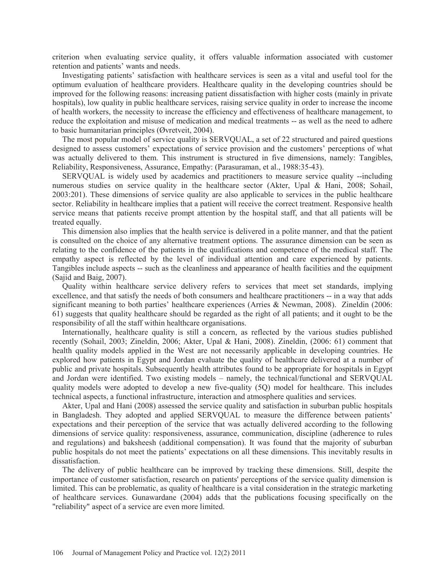criterion when evaluating service quality, it offers valuable information associated with customer retention and patients' wants and needs.

 Investigating patients' satisfaction with healthcare services is seen as a vital and useful tool for the optimum evaluation of healthcare providers. Healthcare quality in the developing countries should be improved for the following reasons: increasing patient dissatisfaction with higher costs (mainly in private hospitals), low quality in public healthcare services, raising service quality in order to increase the income of health workers, the necessity to increase the efficiency and effectiveness of healthcare management, to reduce the exploitation and misuse of medication and medical treatments -- as well as the need to adhere to basic humanitarian principles (Øvretveit, 2004).

 The most popular model of service quality is SERVQUAL, a set of 22 structured and paired questions designed to assess customers' expectations of service provision and the customers' perceptions of what was actually delivered to them. This instrument is structured in five dimensions, namely: Tangibles, Reliability, Responsiveness, Assurance, Empathy: (Parasuraman, et al., 1988:35-43).

 SERVQUAL is widely used by academics and practitioners to measure service quality --including numerous studies on service quality in the healthcare sector (Akter, Upal & Hani, 2008; Sohail, 2003:201). These dimensions of service quality are also applicable to services in the public healthcare sector. Reliability in healthcare implies that a patient will receive the correct treatment. Responsive health service means that patients receive prompt attention by the hospital staff, and that all patients will be treated equally.

 This dimension also implies that the health service is delivered in a polite manner, and that the patient is consulted on the choice of any alternative treatment options. The assurance dimension can be seen as relating to the confidence of the patients in the qualifications and competence of the medical staff. The empathy aspect is reflected by the level of individual attention and care experienced by patients. Tangibles include aspects -- such as the cleanliness and appearance of health facilities and the equipment (Sajid and Baig, 2007).

 Quality within healthcare service delivery refers to services that meet set standards, implying excellence, and that satisfy the needs of both consumers and healthcare practitioners -- in a way that adds significant meaning to both parties' healthcare experiences (Arries & Newman, 2008). Zineldin (2006: 61) suggests that quality healthcare should be regarded as the right of all patients; and it ought to be the responsibility of all the staff within healthcare organisations.

 Internationally, healthcare quality is still a concern, as reflected by the various studies published recently (Sohail, 2003; Zineldin, 2006; Akter, Upal & Hani, 2008). Zineldin, (2006: 61) comment that health quality models applied in the West are not necessarily applicable in developing countries. He explored how patients in Egypt and Jordan evaluate the quality of healthcare delivered at a number of public and private hospitals. Subsequently health attributes found to be appropriate for hospitals in Egypt and Jordan were identified. Two existing models – namely, the technical/functional and SERVQUAL quality models were adopted to develop a new five-quality (5Q) model for healthcare. This includes technical aspects, a functional infrastructure, interaction and atmosphere qualities and services.

 Akter, Upal and Hani (2008) assessed the service quality and satisfaction in suburban public hospitals in Bangladesh. They adopted and applied SERVQUAL to measure the difference between patients' expectations and their perception of the service that was actually delivered according to the following dimensions of service quality: responsiveness, assurance, communication, discipline (adherence to rules and regulations) and baksheesh (additional compensation). It was found that the majority of suburban public hospitals do not meet the patients' expectations on all these dimensions. This inevitably results in dissatisfaction.

 The delivery of public healthcare can be improved by tracking these dimensions. Still, despite the importance of customer satisfaction, research on patients' perceptions of the service quality dimension is limited. This can be problematic, as quality of healthcare is a vital consideration in the strategic marketing of healthcare services. Gunawardane (2004) adds that the publications focusing specifically on the "reliability" aspect of a service are even more limited.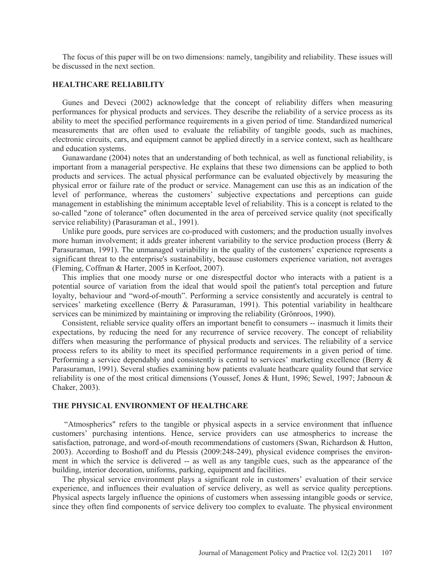The focus of this paper will be on two dimensions: namely, tangibility and reliability. These issues will be discussed in the next section.

#### **HEALTHCARE RELIABILITY**

 Gunes and Deveci (2002) acknowledge that the concept of reliability differs when measuring performances for physical products and services. They describe the reliability of a service process as its ability to meet the specified performance requirements in a given period of time. Standardized numerical measurements that are often used to evaluate the reliability of tangible goods, such as machines, electronic circuits, cars, and equipment cannot be applied directly in a service context, such as healthcare and education systems.

 Gunawardane (2004) notes that an understanding of both technical, as well as functional reliability, is important from a managerial perspective. He explains that these two dimensions can be applied to both products and services. The actual physical performance can be evaluated objectively by measuring the physical error or failure rate of the product or service. Management can use this as an indication of the level of performance, whereas the customers' subjective expectations and perceptions can guide management in establishing the minimum acceptable level of reliability. This is a concept is related to the so-called "zone of tolerance" often documented in the area of perceived service quality (not specifically service reliability) (Parasuraman et al., 1991).

 Unlike pure goods, pure services are co-produced with customers; and the production usually involves more human involvement; it adds greater inherent variability to the service production process (Berry & Parasuraman, 1991). The unmanaged variability in the quality of the customers' experience represents a significant threat to the enterprise's sustainability, because customers experience variation, not averages (Fleming, Coffman & Harter, 2005 in Kerfoot, 2007).

 This implies that one moody nurse or one disrespectful doctor who interacts with a patient is a potential source of variation from the ideal that would spoil the patient's total perception and future loyalty, behaviour and "word-of-mouth". Performing a service consistently and accurately is central to services' marketing excellence (Berry & Parasuraman, 1991). This potential variability in healthcare services can be minimized by maintaining or improving the reliability (Grönroos, 1990).

 Consistent, reliable service quality offers an important benefit to consumers -- inasmuch it limits their expectations, by reducing the need for any recurrence of service recovery. The concept of reliability differs when measuring the performance of physical products and services. The reliability of a service process refers to its ability to meet its specified performance requirements in a given period of time. Performing a service dependably and consistently is central to services' marketing excellence (Berry & Parasuraman, 1991). Several studies examining how patients evaluate heathcare quality found that service reliability is one of the most critical dimensions (Youssef, Jones & Hunt, 1996; Sewel, 1997; Jabnoun & Chaker, 2003).

#### **THE PHYSICAL ENVIRONMENT OF HEALTHCARE**

 "Atmospherics" refers to the tangible or physical aspects in a service environment that influence customers' purchasing intentions. Hence, service providers can use atmospherics to increase the satisfaction, patronage, and word-of-mouth recommendations of customers (Swan, Richardson & Hutton, 2003). According to Boshoff and du Plessis (2009:248-249), physical evidence comprises the environment in which the service is delivered -- as well as any tangible cues, such as the appearance of the building, interior decoration, uniforms, parking, equipment and facilities.

 The physical service environment plays a significant role in customers' evaluation of their service experience, and influences their evaluation of service delivery, as well as service quality perceptions. Physical aspects largely influence the opinions of customers when assessing intangible goods or service, since they often find components of service delivery too complex to evaluate. The physical environment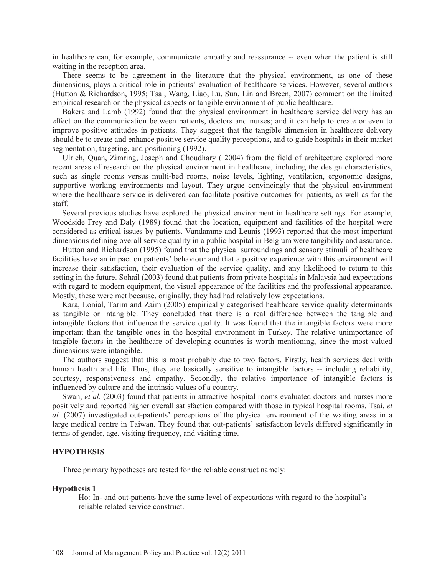in healthcare can, for example, communicate empathy and reassurance -- even when the patient is still waiting in the reception area.

 There seems to be agreement in the literature that the physical environment, as one of these dimensions, plays a critical role in patients' evaluation of healthcare services. However, several authors (Hutton & Richardson, 1995; Tsai, Wang, Liao, Lu, Sun, Lin and Breen, 2007) comment on the limited empirical research on the physical aspects or tangible environment of public healthcare.

 Bakera and Lamb (1992) found that the physical environment in healthcare service delivery has an effect on the communication between patients, doctors and nurses; and it can help to create or even to improve positive attitudes in patients. They suggest that the tangible dimension in healthcare delivery should be to create and enhance positive service quality perceptions, and to guide hospitals in their market segmentation, targeting, and positioning (1992).

 Ulrich, Quan, Zimring, Joseph and Choudhary ( 2004) from the field of architecture explored more recent areas of research on the physical environment in healthcare, including the design characteristics, such as single rooms versus multi-bed rooms, noise levels, lighting, ventilation, ergonomic designs, supportive working environments and layout. They argue convincingly that the physical environment where the healthcare service is delivered can facilitate positive outcomes for patients, as well as for the staff.

 Several previous studies have explored the physical environment in healthcare settings. For example, Woodside Frey and Daly (1989) found that the location, equipment and facilities of the hospital were considered as critical issues by patients. Vandamme and Leunis (1993) reported that the most important dimensions defining overall service quality in a public hospital in Belgium were tangibility and assurance.

 Hutton and Richardson (1995) found that the physical surroundings and sensory stimuli of healthcare facilities have an impact on patients' behaviour and that a positive experience with this environment will increase their satisfaction, their evaluation of the service quality, and any likelihood to return to this setting in the future. Sohail (2003) found that patients from private hospitals in Malaysia had expectations with regard to modern equipment, the visual appearance of the facilities and the professional appearance. Mostly, these were met because, originally, they had had relatively low expectations.

 Kara, Lonial, Tarim and Zaim (2005) empirically categorised healthcare service quality determinants as tangible or intangible. They concluded that there is a real difference between the tangible and intangible factors that influence the service quality. It was found that the intangible factors were more important than the tangible ones in the hospital environment in Turkey. The relative unimportance of tangible factors in the healthcare of developing countries is worth mentioning, since the most valued dimensions were intangible.

 The authors suggest that this is most probably due to two factors. Firstly, health services deal with human health and life. Thus, they are basically sensitive to intangible factors -- including reliability, courtesy, responsiveness and empathy. Secondly, the relative importance of intangible factors is influenced by culture and the intrinsic values of a country.

Swan, *et al.* (2003) found that patients in attractive hospital rooms evaluated doctors and nurses more positively and reported higher overall satisfaction compared with those in typical hospital rooms. Tsai, *et al.* (2007) investigated out-patients' perceptions of the physical environment of the waiting areas in a large medical centre in Taiwan. They found that out-patients' satisfaction levels differed significantly in terms of gender, age, visiting frequency, and visiting time.

#### **HYPOTHESIS**

Three primary hypotheses are tested for the reliable construct namely:

#### **Hypothesis 1**

Ho: In- and out-patients have the same level of expectations with regard to the hospital's reliable related service construct.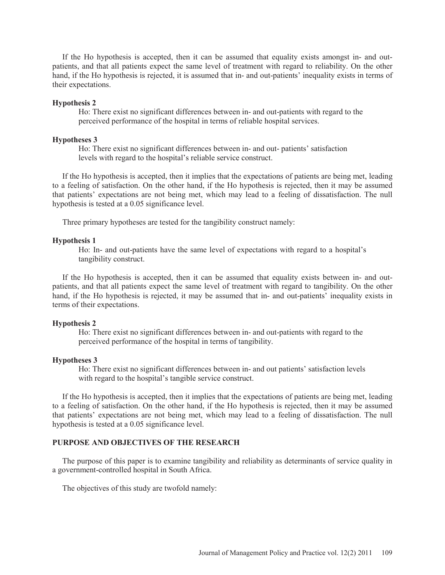If the Ho hypothesis is accepted, then it can be assumed that equality exists amongst in- and outpatients, and that all patients expect the same level of treatment with regard to reliability. On the other hand, if the Ho hypothesis is rejected, it is assumed that in- and out-patients' inequality exists in terms of their expectations.

#### **Hypothesis 2**

Ho: There exist no significant differences between in- and out-patients with regard to the perceived performance of the hospital in terms of reliable hospital services.

#### **Hypotheses 3**

Ho: There exist no significant differences between in- and out- patients' satisfaction levels with regard to the hospital's reliable service construct.

 If the Ho hypothesis is accepted, then it implies that the expectations of patients are being met, leading to a feeling of satisfaction. On the other hand, if the Ho hypothesis is rejected, then it may be assumed that patients' expectations are not being met, which may lead to a feeling of dissatisfaction. The null hypothesis is tested at a 0.05 significance level.

Three primary hypotheses are tested for the tangibility construct namely:

#### **Hypothesis 1**

Ho: In- and out-patients have the same level of expectations with regard to a hospital's tangibility construct.

 If the Ho hypothesis is accepted, then it can be assumed that equality exists between in- and outpatients, and that all patients expect the same level of treatment with regard to tangibility. On the other hand, if the Ho hypothesis is rejected, it may be assumed that in- and out-patients' inequality exists in terms of their expectations.

#### **Hypothesis 2**

Ho: There exist no significant differences between in- and out-patients with regard to the perceived performance of the hospital in terms of tangibility.

#### **Hypotheses 3**

Ho: There exist no significant differences between in- and out patients' satisfaction levels with regard to the hospital's tangible service construct.

 If the Ho hypothesis is accepted, then it implies that the expectations of patients are being met, leading to a feeling of satisfaction. On the other hand, if the Ho hypothesis is rejected, then it may be assumed that patients' expectations are not being met, which may lead to a feeling of dissatisfaction. The null hypothesis is tested at a 0.05 significance level.

## **PURPOSE AND OBJECTIVES OF THE RESEARCH**

 The purpose of this paper is to examine tangibility and reliability as determinants of service quality in a government-controlled hospital in South Africa.

The objectives of this study are twofold namely: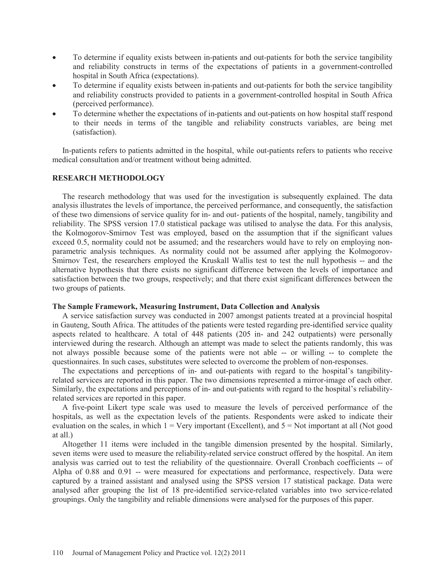- To determine if equality exists between in-patients and out-patients for both the service tangibility and reliability constructs in terms of the expectations of patients in a government-controlled hospital in South Africa (expectations).
- To determine if equality exists between in-patients and out-patients for both the service tangibility and reliability constructs provided to patients in a government-controlled hospital in South Africa (perceived performance).
- To determine whether the expectations of in-patients and out-patients on how hospital staff respond to their needs in terms of the tangible and reliability constructs variables, are being met (satisfaction).

 In-patients refers to patients admitted in the hospital, while out-patients refers to patients who receive medical consultation and/or treatment without being admitted.

#### **RESEARCH METHODOLOGY**

 The research methodology that was used for the investigation is subsequently explained. The data analysis illustrates the levels of importance, the perceived performance, and consequently, the satisfaction of these two dimensions of service quality for in- and out- patients of the hospital, namely, tangibility and reliability. The SPSS version 17.0 statistical package was utilised to analyse the data. For this analysis, the Kolmogorov-Smirnov Test was employed, based on the assumption that if the significant values exceed 0.5, normality could not be assumed; and the researchers would have to rely on employing nonparametric analysis techniques. As normality could not be assumed after applying the Kolmogorov-Smirnov Test, the researchers employed the Kruskall Wallis test to test the null hypothesis -- and the alternative hypothesis that there exists no significant difference between the levels of importance and satisfaction between the two groups, respectively; and that there exist significant differences between the two groups of patients.

#### **The Sample Framework, Measuring Instrument, Data Collection and Analysis**

 A service satisfaction survey was conducted in 2007 amongst patients treated at a provincial hospital in Gauteng, South Africa. The attitudes of the patients were tested regarding pre-identified service quality aspects related to healthcare. A total of 448 patients (205 in- and 242 outpatients) were personally interviewed during the research. Although an attempt was made to select the patients randomly, this was not always possible because some of the patients were not able -- or willing -- to complete the questionnaires. In such cases, substitutes were selected to overcome the problem of non-responses.

 The expectations and perceptions of in- and out-patients with regard to the hospital's tangibilityrelated services are reported in this paper. The two dimensions represented a mirror-image of each other. Similarly, the expectations and perceptions of in- and out-patients with regard to the hospital's reliabilityrelated services are reported in this paper.

 A five-point Likert type scale was used to measure the levels of perceived performance of the hospitals, as well as the expectation levels of the patients. Respondents were asked to indicate their evaluation on the scales, in which  $1 =$  Very important (Excellent), and  $5 =$  Not important at all (Not good at all.)

 Altogether 11 items were included in the tangible dimension presented by the hospital. Similarly, seven items were used to measure the reliability-related service construct offered by the hospital. An item analysis was carried out to test the reliability of the questionnaire. Overall Cronbach coefficients -- of Alpha of 0.88 and 0.91 -- were measured for expectations and performance, respectively. Data were captured by a trained assistant and analysed using the SPSS version 17 statistical package. Data were analysed after grouping the list of 18 pre-identified service-related variables into two service-related groupings. Only the tangibility and reliable dimensions were analysed for the purposes of this paper.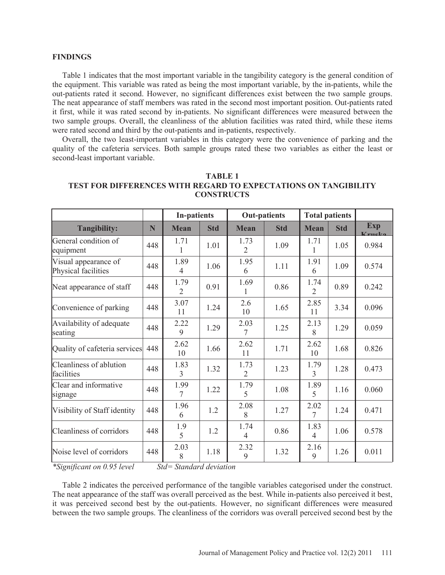#### **FINDINGS**

 Table 1 indicates that the most important variable in the tangibility category is the general condition of the equipment. This variable was rated as being the most important variable, by the in-patients, while the out-patients rated it second. However, no significant differences exist between the two sample groups. The neat appearance of staff members was rated in the second most important position. Out-patients rated it first, while it was rated second by in-patients. No significant differences were measured between the two sample groups. Overall, the cleanliness of the ablution facilities was rated third, while these items were rated second and third by the out-patients and in-patients, respectively.

 Overall, the two least-important variables in this category were the convenience of parking and the quality of the cafeteria services. Both sample groups rated these two variables as either the least or second-least important variable.

|                                             |     | <b>In-patients</b> |            |                        | <b>Out-patients</b> | <b>Total patients</b>  |            |               |
|---------------------------------------------|-----|--------------------|------------|------------------------|---------------------|------------------------|------------|---------------|
| <b>Tangibility:</b>                         | N   | <b>Mean</b>        | <b>Std</b> | <b>Mean</b>            | <b>Std</b>          | <b>Mean</b>            | <b>Std</b> | Exp<br>Kruska |
| General condition of<br>equipment           | 448 | 1.71<br>1          | 1.01       | 1.73<br>$\overline{2}$ | 1.09                | 1.71<br>1              | 1.05       | 0.984         |
| Visual appearance of<br>Physical facilities | 448 | 1.89<br>4          | 1.06       | 1.95<br>6              | 1.11                | 1.91<br>6              | 1.09       | 0.574         |
| Neat appearance of staff                    | 448 | 1.79<br>2          | 0.91       | 1.69<br>1              | 0.86                | 1.74<br>$\overline{2}$ | 0.89       | 0.242         |
| Convenience of parking                      | 448 | 3.07<br>11         | 1.24       | 2.6<br>10              | 1.65                | 2.85<br>11             | 3.34       | 0.096         |
| Availability of adequate<br>seating         | 448 | 2.22<br>9          | 1.29       | 2.03<br>7              | 1.25                | 2.13<br>8              | 1.29       | 0.059         |
| Quality of cafeteria services               | 448 | 2.62<br>10         | 1.66       | 2.62<br>11             | 1.71                | 2.62<br>10             | 1.68       | 0.826         |
| Cleanliness of ablution<br>facilities       | 448 | 1.83<br>3          | 1.32       | 1.73<br>$\overline{2}$ | 1.23                | 1.79<br>3              | 1.28       | 0.473         |
| Clear and informative<br>signage            | 448 | 1.99<br>$\tau$     | 1.22       | 1.79<br>5              | 1.08                | 1.89<br>5              | 1.16       | 0.060         |
| Visibility of Staff identity                | 448 | 1.96<br>6          | 1.2        | 2.08<br>8              | 1.27                | 2.02<br>7              | 1.24       | 0.471         |
| Cleanliness of corridors                    | 448 | 1.9<br>5           | 1.2        | 1.74<br>$\overline{4}$ | 0.86                | 1.83<br>$\overline{4}$ | 1.06       | 0.578         |
| Noise level of corridors                    | 448 | 2.03<br>8          | 1.18       | 2.32<br>9              | 1.32                | 2.16<br>9              | 1.26       | 0.011         |

**TABLE 1 TEST FOR DIFFERENCES WITH REGARD TO EXPECTATIONS ON TANGIBILITY CONSTRUCTS** 

*\*Significant on 0.95 level Std= Standard deviation* 

 Table 2 indicates the perceived performance of the tangible variables categorised under the construct. The neat appearance of the staff was overall perceived as the best. While in-patients also perceived it best, it was perceived second best by the out-patients. However, no significant differences were measured between the two sample groups. The cleanliness of the corridors was overall perceived second best by the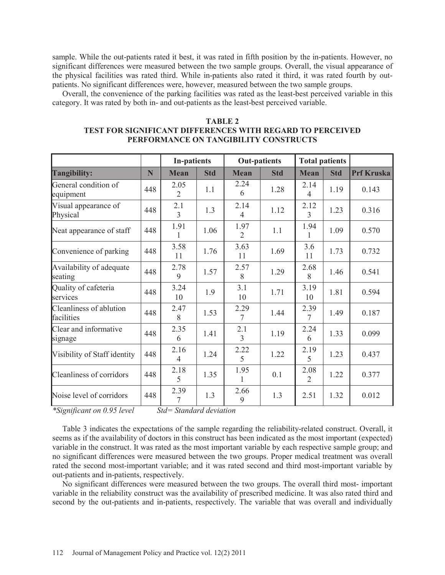sample. While the out-patients rated it best, it was rated in fifth position by the in-patients. However, no significant differences were measured between the two sample groups. Overall, the visual appearance of the physical facilities was rated third. While in-patients also rated it third, it was rated fourth by outpatients. No significant differences were, however, measured between the two sample groups.

 Overall, the convenience of the parking facilities was rated as the least-best perceived variable in this category. It was rated by both in- and out-patients as the least-best perceived variable.

|                                       |     | <b>In-patients</b>     |            |                        | <b>Out-patients</b> | <b>Total patients</b>  |            |                   |
|---------------------------------------|-----|------------------------|------------|------------------------|---------------------|------------------------|------------|-------------------|
| <b>Tangibility:</b>                   | N   | <b>Mean</b>            | <b>Std</b> | <b>Mean</b>            | <b>Std</b>          | <b>Mean</b>            | <b>Std</b> | <b>Prf Kruska</b> |
| General condition of<br>equipment     | 448 | 2.05<br>2              | 1.1        | 2.24<br>6              | 1.28                | 2.14<br>$\overline{4}$ | 1.19       | 0.143             |
| Visual appearance of<br>Physical      | 448 | 2.1<br>3               | 1.3        | 2.14<br>4              | 1.12                | 2.12<br>3              | 1.23       | 0.316             |
| Neat appearance of staff              | 448 | 1.91                   | 1.06       | 1.97<br>$\overline{2}$ | 1.1                 | 1.94<br>1              | 1.09       | 0.570             |
| Convenience of parking                | 448 | 3.58<br>11             | 1.76       | 3.63<br>11             | 1.69                | 3.6<br>11              | 1.73       | 0.732             |
| Availability of adequate<br>seating   | 448 | 2.78<br>9              | 1.57       | 2.57<br>8              | 1.29                | 2.68<br>8              | 1.46       | 0.541             |
| Quality of cafeteria<br>services      | 448 | 3.24<br>10             | 1.9        | 3.1<br>10              | 1.71                | 3.19<br>10             | 1.81       | 0.594             |
| Cleanliness of ablution<br>facilities | 448 | 2.47<br>8              | 1.53       | 2.29<br>7              | 1.44                | 2.39<br>7              | 1.49       | 0.187             |
| Clear and informative<br>signage      | 448 | 2.35<br>6              | 1.41       | 2.1<br>3               | 1.19                | 2.24<br>6              | 1.33       | 0.099             |
| Visibility of Staff identity          | 448 | 2.16<br>$\overline{4}$ | 1.24       | 2.22<br>5              | 1.22                | 2.19<br>5              | 1.23       | 0.437             |
| Cleanliness of corridors              | 448 | 2.18<br>5              | 1.35       | 1.95<br>1              | 0.1                 | 2.08<br>$\overline{2}$ | 1.22       | 0.377             |
| Noise level of corridors              | 448 | 2.39<br>7              | 1.3        | 2.66<br>9              | 1.3                 | 2.51                   | 1.32       | 0.012             |

## **TABLE 2 TEST FOR SIGNIFICANT DIFFERENCES WITH REGARD TO PERCEIVED PERFORMANCE ON TANGIBILITY CONSTRUCTS**

*\*Significant on 0.95 level Std= Standard deviation* 

 Table 3 indicates the expectations of the sample regarding the reliability-related construct. Overall, it seems as if the availability of doctors in this construct has been indicated as the most important (expected) variable in the construct. It was rated as the most important variable by each respective sample group; and no significant differences were measured between the two groups. Proper medical treatment was overall rated the second most-important variable; and it was rated second and third most-important variable by out-patients and in-patients, respectively.

 No significant differences were measured between the two groups. The overall third most- important variable in the reliability construct was the availability of prescribed medicine. It was also rated third and second by the out-patients and in-patients, respectively. The variable that was overall and individually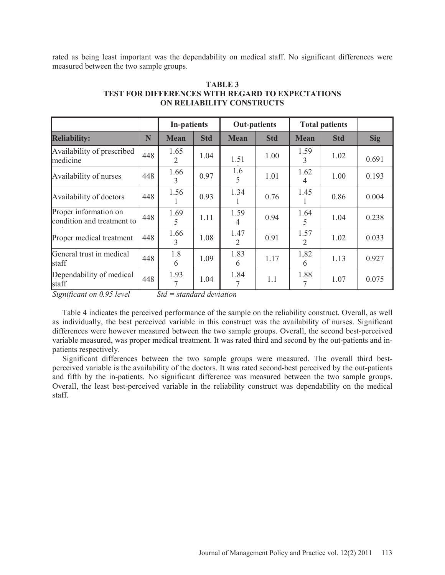rated as being least important was the dependability on medical staff. No significant differences were measured between the two sample groups.

|                                                     |     | <b>In-patients</b> |            | <b>Out-patients</b> |            | <b>Total patients</b>  |            |            |
|-----------------------------------------------------|-----|--------------------|------------|---------------------|------------|------------------------|------------|------------|
| <b>Reliability:</b>                                 | N   | <b>Mean</b>        | <b>Std</b> | <b>Mean</b>         | <b>Std</b> | <b>Mean</b>            | <b>Std</b> | <b>Sig</b> |
| Availability of prescribed<br>medicine              | 448 | 1.65<br>2          | 1.04       | 1.51                | 1.00       | 1.59<br>3              | 1.02       | 0.691      |
| Availability of nurses                              | 448 | 1.66<br>3          | 0.97       | 1.6<br>5            | 1.01       | 1.62<br>4              | 1.00       | 0.193      |
| Availability of doctors                             | 448 | 1.56               | 0.93       | 1.34                | 0.76       | 1.45                   | 0.86       | 0.004      |
| Proper information on<br>condition and treatment to | 448 | 1.69<br>5          | 1.11       | 1.59<br>4           | 0.94       | 1.64<br>5              | 1.04       | 0.238      |
| Proper medical treatment                            | 448 | 1.66<br>3          | 1.08       | 1.47<br>2           | 0.91       | 1.57<br>$\overline{2}$ | 1.02       | 0.033      |
| General trust in medical<br>staff                   | 448 | 1.8<br>6           | 1.09       | 1.83<br>6           | 1.17       | 1,82<br>6              | 1.13       | 0.927      |
| Dependability of medical<br>staff                   | 448 | 1.93<br>7          | 1.04       | 1.84<br>7           | 1.1        | 1.88<br>7              | 1.07       | 0.075      |

**TABLE 3 TEST FOR DIFFERENCES WITH REGARD TO EXPECTATIONS ON RELIABILITY CONSTRUCTS** 

*Significant on 0.95 level Std = standard deviation* 

 Table 4 indicates the perceived performance of the sample on the reliability construct. Overall, as well as individually, the best perceived variable in this construct was the availability of nurses. Significant differences were however measured between the two sample groups. Overall, the second best-perceived variable measured, was proper medical treatment. It was rated third and second by the out-patients and inpatients respectively.

 Significant differences between the two sample groups were measured. The overall third bestperceived variable is the availability of the doctors. It was rated second-best perceived by the out-patients and fifth by the in-patients. No significant difference was measured between the two sample groups. Overall, the least best-perceived variable in the reliability construct was dependability on the medical staff.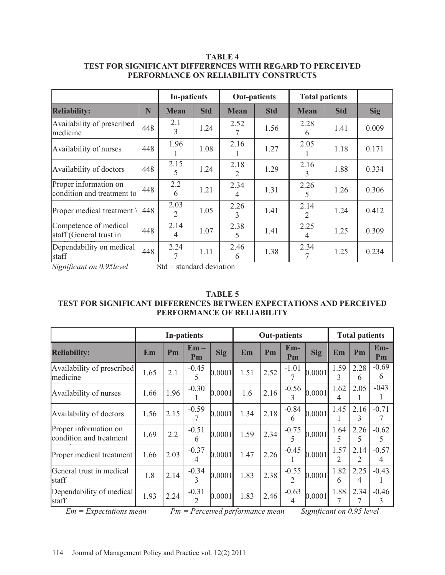## **TABLE 4 TEST FOR SIGNIFICANT DIFFERENCES WITH REGARD TO PERCEIVED PERFORMANCE ON RELIABILITY CONSTRUCTS**

|                                                     |     | <b>In-patients</b>     |            | <b>Out-patients</b> |            | <b>Total patients</b>  |            |            |
|-----------------------------------------------------|-----|------------------------|------------|---------------------|------------|------------------------|------------|------------|
| <b>Reliability:</b>                                 | N   | <b>Mean</b>            | <b>Std</b> | <b>Mean</b>         | <b>Std</b> | <b>Mean</b>            | <b>Std</b> | <b>Sig</b> |
| Availability of prescribed<br>medicine              | 448 | 2.1<br>3               | 1.24       | 2.52                | 1.56       | 2.28<br>6              | 1.41       | 0.009      |
| Availability of nurses                              | 448 | 1.96                   | 1.08       | 2.16                | 1.27       | 2.05                   | 1.18       | 0.171      |
| Availability of doctors                             | 448 | 2.15<br>5              | 1.24       | 2.18<br>2           | 1.29       | 2.16<br>3              | 1.88       | 0.334      |
| Proper information on<br>condition and treatment to | 448 | 2.2<br>6               | 1.21       | 2.34<br>4           | 1.31       | 2.26<br>5              | 1.26       | 0.306      |
| Proper medical treatment \                          | 448 | 2.03<br>$\overline{2}$ | 1.05       | 2.26<br>3           | 1.41       | 2.14<br>2              | 1.24       | 0.412      |
| Competence of medical<br>staff (General trust in    | 448 | 2.14<br>4              | 1.07       | 2.38<br>5           | 1.41       | 2.25<br>$\overline{4}$ | 1.25       | 0.309      |
| Dependability on medical<br>staff                   | 448 | 2.24<br>7              | 1.11       | 2.46<br>6           | 1.38       | 2.34<br>7              | 1.25       | 0.234      |

*Significant on 0.95level* Std = standard deviation

## **TABLE 5 TEST FOR SIGNIFICANT DIFFERENCES BETWEEN EXPECTATIONS AND PERCEIVED PERFORMANCE OF RELIABILITY**

|                                                  |      |      | <b>In-patients</b> |            |                        | <b>Out-patients</b> | <b>Total patients</b>     |            |                        |                        |               |
|--------------------------------------------------|------|------|--------------------|------------|------------------------|---------------------|---------------------------|------------|------------------------|------------------------|---------------|
| <b>Reliability:</b>                              | Em   | Pm   | $Em -$<br>Pm       | <b>Sig</b> | $\mathbf{E}\mathbf{m}$ | Pm                  | $Em-$<br>Pm               | <b>Sig</b> | $\mathbf{E}\mathbf{m}$ | Pm                     | $Em-$<br>Pm   |
| Availability of prescribed<br>medicine           | 1.65 | 2.1  | $-0.45$<br>5       | 0.0001     | 1.51                   | 2.52                | $-1.01$                   | 0.0001     | 1.59<br>3              | 2.28<br>6              | $-0.69$<br>6  |
| Availability of nurses                           | 1.66 | 1.96 | $-0.30$            | 0.0001     | 1.6                    | 2.16                | $-0.56$                   | 0.0001     | 1.62<br>4              | 2.05                   | $-043$        |
| Availability of doctors                          | 1.56 | 2.15 | $-0.59$            | 0.0001     | 1.34                   | 2.18                | $-0.84$<br>6              | 0.0001     | 1.45                   | 2.16<br>3              | $-0.71$       |
| Proper information on<br>condition and treatment | 1.69 | 2.2  | $-0.51$<br>6       | 0.0001     | 1.59                   | 2.34                | $-0.75$<br>5              | 0.0001     | 1.64<br>5              | 2.26<br>5              | $-0.62$<br>5. |
| Proper medical treatment                         | 1.66 | 2.03 | $-0.37$<br>4       | 0.0001     | 1.47                   | 2.26                | $-0.45$                   | 0.0001     | 1.57<br>$\overline{2}$ | 2.14<br>$\overline{2}$ | $-0.57$<br>4  |
| General trust in medical<br>staff                | 1.8  | 2.14 | $-0.34$            | 0.0001     | 1.83                   | 2.38                | $-0.55$<br>$\overline{2}$ | 0.0001     | 1.82<br>6              | 2.25<br>4              | $-0.43$       |
| Dependability of medical<br>staff                | 1.93 | 2.24 | $-0.31$<br>2       | 0.0001     | 1.83                   | 2.46                | $-0.63$<br>$\overline{4}$ | 0.0001     | 1.88                   | 2.34                   | $-0.46$<br>3  |

*Em = Expectations mean Pm = Perceived performance mean Significant on 0.95 level*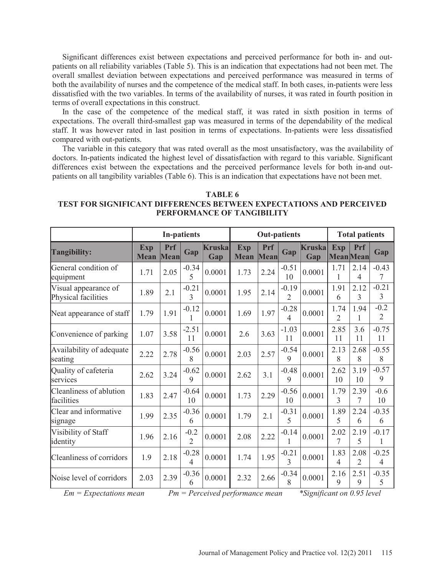Significant differences exist between expectations and perceived performance for both in- and outpatients on all reliability variables (Table 5). This is an indication that expectations had not been met. The overall smallest deviation between expectations and perceived performance was measured in terms of both the availability of nurses and the competence of the medical staff. In both cases, in-patients were less dissatisfied with the two variables. In terms of the availability of nurses, it was rated in fourth position in terms of overall expectations in this construct.

 In the case of the competence of the medical staff, it was rated in sixth position in terms of expectations. The overall third-smallest gap was measured in terms of the dependability of the medical staff. It was however rated in last position in terms of expectations. In-patients were less dissatisfied compared with out-patients.

 The variable in this category that was rated overall as the most unsatisfactory, was the availability of doctors. In-patients indicated the highest level of dissatisfaction with regard to this variable. Significant differences exist between the expectations and the perceived performance levels for both in-and outpatients on all tangibility variables (Table 6). This is an indication that expectations have not been met.

## **TABLE 6 TEST FOR SIGNIFICANT DIFFERENCES BETWEEN EXPECTATIONS AND PERCEIVED PERFORMANCE OF TANGIBILITY**

|                                             |                           |                    | <b>In-patients</b>       |                                    |                           | <b>Out-patients</b>       | <b>Total patients</b>     |                            |                         |                        |                          |
|---------------------------------------------|---------------------------|--------------------|--------------------------|------------------------------------|---------------------------|---------------------------|---------------------------|----------------------------|-------------------------|------------------------|--------------------------|
| <b>Tangibility:</b>                         | <b>Exp</b><br><b>Mean</b> | <b>Prf</b><br>Mean | Gap                      | <b>Kruska</b><br>Gap               | <b>Exp</b><br><b>Mean</b> | <b>Prf</b><br><b>Mean</b> | Gap                       | <b>Kruska</b><br>Gap       | Exp<br><b>Mean</b> Mean | Prf                    | Gap                      |
| General condition of<br>equipment           | 1.71                      | 2.05               | $-0.34$<br>5             | 0.0001                             | 1.73                      | 2.24                      | $-0.51$<br>10             | 0.0001                     | 1.71                    | 2.14<br>$\overline{4}$ | $-0.43$<br>7             |
| Visual appearance of<br>Physical facilities | 1.89                      | 2.1                | $-0.21$<br>$\mathcal{E}$ | 0.0001                             | 1.95                      | 2.14                      | $-0.19$<br>$\overline{2}$ | 0.0001                     | 1.91<br>6               | 2.12<br>3              | $-0.21$<br>3             |
| Neat appearance of staff                    | 1.79                      | 1.91               | $-0.12$<br>1             | 0.0001                             | 1.69                      | 1.97                      | $-0.28$<br>$\overline{4}$ | 0.0001                     | 1.74<br>2               | 1.94<br>1              | $-0.2$<br>$\overline{2}$ |
| Convenience of parking                      | 1.07                      | 3.58               | $-2.51$<br>11            | 0.0001                             | 2.6                       | 3.63                      | $-1.03$<br>11             | 0.0001                     | 2.85<br>11              | 3.6<br>11              | $-0.75$<br>11            |
| Availability of adequate<br>seating         | 2.22                      | 2.78               | $-0.56$<br>8             | 0.0001                             | 2.03                      | 2.57                      | $-0.54$<br>9              | 0.0001                     | 2.13<br>8               | 2.68<br>8              | $-0.55$<br>8             |
| Quality of cafeteria<br>services            | 2.62                      | 3.24               | $-0.62$<br>9             | 0.0001                             | 2.62                      | 3.1                       | $-0.48$<br>9              | 0.0001                     | 2.62<br>10              | 3.19<br>10             | $-0.57$<br>9             |
| Cleanliness of ablution<br>facilities       | 1.83                      | 2.47               | $-0.64$<br>10            | 0.0001                             | 1.73                      | 2.29                      | $-0.56$<br>10             | 0.0001                     | 1.79<br>3               | 2.39<br>7              | $-0.6$<br>10             |
| Clear and informative<br>signage            | 1.99                      | 2.35               | $-0.36$<br>6             | 0.0001                             | 1.79                      | 2.1                       | $-0.31$<br>5              | 0.0001                     | 1.89<br>5               | 2.24<br>6              | $-0.35$<br>6             |
| Visibility of Staff<br>identity             | 1.96                      | 2.16               | $-0.2$<br>$\overline{2}$ | 0.0001                             | 2.08                      | 2.22                      | $-0.14$<br>1              | 0.0001                     | 2.02<br>7               | 2.19<br>5              | $-0.17$<br>1             |
| Cleanliness of corridors                    | 1.9                       | 2.18               | $-0.28$<br>4             | 0.0001                             | 1.74                      | 1.95                      | $-0.21$<br>3              | 0.0001                     | 1.83<br>4               | 2.08<br>$\overline{2}$ | $-0.25$<br>4             |
| Noise level of corridors                    | 2.03                      | 2.39               | $-0.36$<br>6             | 0.0001                             | 2.32                      | 2.66                      | $-0.34$<br>8              | 0.0001                     | 2.16<br>9               | 2.51<br>$\mathbf Q$    | $-0.35$<br>5             |
| $Em = Expectations mean$                    |                           |                    |                          | $Pm = Percentage$ performance mean |                           |                           |                           | *Significant on 0.95 level |                         |                        |                          |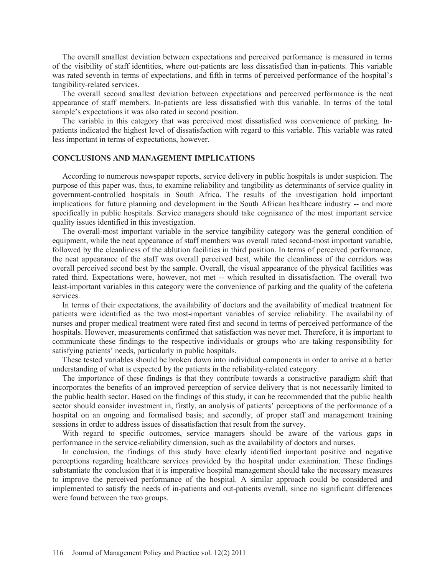The overall smallest deviation between expectations and perceived performance is measured in terms of the visibility of staff identities, where out-patients are less dissatisfied than in-patients. This variable was rated seventh in terms of expectations, and fifth in terms of perceived performance of the hospital's tangibility-related services.

 The overall second smallest deviation between expectations and perceived performance is the neat appearance of staff members. In-patients are less dissatisfied with this variable. In terms of the total sample's expectations it was also rated in second position.

 The variable in this category that was perceived most dissatisfied was convenience of parking. Inpatients indicated the highest level of dissatisfaction with regard to this variable. This variable was rated less important in terms of expectations, however.

#### **CONCLUSIONS AND MANAGEMENT IMPLICATIONS**

 According to numerous newspaper reports, service delivery in public hospitals is under suspicion. The purpose of this paper was, thus, to examine reliability and tangibility as determinants of service quality in government-controlled hospitals in South Africa. The results of the investigation hold important implications for future planning and development in the South African healthcare industry -- and more specifically in public hospitals. Service managers should take cognisance of the most important service quality issues identified in this investigation.

 The overall-most important variable in the service tangibility category was the general condition of equipment, while the neat appearance of staff members was overall rated second-most important variable, followed by the cleanliness of the ablution facilities in third position. In terms of perceived performance, the neat appearance of the staff was overall perceived best, while the cleanliness of the corridors was overall perceived second best by the sample. Overall, the visual appearance of the physical facilities was rated third. Expectations were, however, not met -- which resulted in dissatisfaction. The overall two least-important variables in this category were the convenience of parking and the quality of the cafeteria services.

 In terms of their expectations, the availability of doctors and the availability of medical treatment for patients were identified as the two most-important variables of service reliability. The availability of nurses and proper medical treatment were rated first and second in terms of perceived performance of the hospitals. However, measurements confirmed that satisfaction was never met. Therefore, it is important to communicate these findings to the respective individuals or groups who are taking responsibility for satisfying patients' needs, particularly in public hospitals.

 These tested variables should be broken down into individual components in order to arrive at a better understanding of what is expected by the patients in the reliability-related category.

 The importance of these findings is that they contribute towards a constructive paradigm shift that incorporates the benefits of an improved perception of service delivery that is not necessarily limited to the public health sector. Based on the findings of this study, it can be recommended that the public health sector should consider investment in, firstly, an analysis of patients' perceptions of the performance of a hospital on an ongoing and formalised basis; and secondly, of proper staff and management training sessions in order to address issues of dissatisfaction that result from the survey.

 With regard to specific outcomes, service managers should be aware of the various gaps in performance in the service-reliability dimension, such as the availability of doctors and nurses.

 In conclusion, the findings of this study have clearly identified important positive and negative perceptions regarding healthcare services provided by the hospital under examination. These findings substantiate the conclusion that it is imperative hospital management should take the necessary measures to improve the perceived performance of the hospital. A similar approach could be considered and implemented to satisfy the needs of in-patients and out-patients overall, since no significant differences were found between the two groups.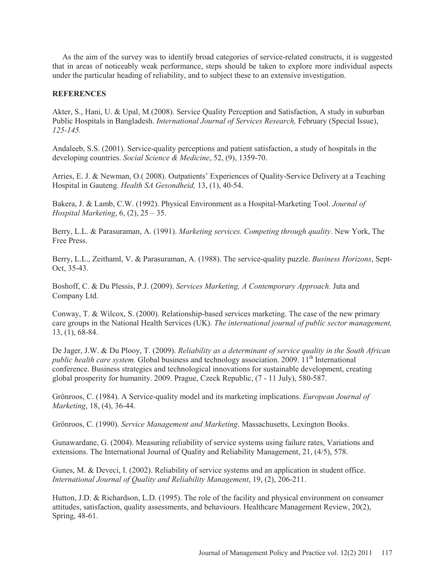As the aim of the survey was to identify broad categories of service-related constructs, it is suggested that in areas of noticeably weak performance, steps should be taken to explore more individual aspects under the particular heading of reliability, and to subject these to an extensive investigation.

## **REFERENCES**

Akter, S., Hani, U. & Upal, M.(2008). Service Quality Perception and Satisfaction, A study in suburban Public Hospitals in Bangladesh. *International Journal of Services Research,* February (Special Issue), *125-145.*

Andaleeb, S.S. (2001). Service-quality perceptions and patient satisfaction, a study of hospitals in the developing countries. *Social Science & Medicine*, 52, (9), 1359-70.

Arries, E. J. & Newman, O.( 2008). Outpatients' Experiences of Quality-Service Delivery at a Teaching Hospital in Gauteng. *Health SA Gesondheid,* 13, (1), 40-54.

Bakera, J. & Lamb, C.W. (1992). Physical Environment as a Hospital-Marketing Tool. *Journal of Hospital Marketing*, 6, (2), 25 – 35.

Berry, L.L. & Parasuraman, A. (1991). *Marketing services. Competing through quality*. New York, The Free Press.

Berry, L.L., Zeithaml, V. & Parasuraman, A. (1988). The service-quality puzzle. *Business Horizons*, Sept-Oct, 35-43.

Boshoff, C. & Du Plessis, P.J. (2009). *Services Marketing, A Contemporary Approach.* Juta and Company Ltd.

Conway, T. & Wilcox, S. (2000). Relationship-based services marketing. The case of the new primary care groups in the National Health Services (UK). *The international journal of public sector management,* 13, (1), 68-84.

De Jager, J.W. & Du Plooy, T. (2009). *Reliability as a determinant of service quality in the South African public health care system.* Global business and technology association. 2009. 11<sup>th</sup> International conference. Business strategies and technological innovations for sustainable development, creating global prosperity for humanity. 2009. Prague, Czeck Republic, (7 - 11 July), 580-587.

Grönroos, C. (1984). A Service-quality model and its marketing implications. *European Journal of Marketing*, 18, (4), 36-44.

Grönroos, C. (1990). *Service Management and Marketing*. Massachusetts, Lexington Books.

Gunawardane, G. (2004). Measuring reliability of service systems using failure rates, Variations and extensions. The International Journal of Quality and Reliability Management, 21, (4/5), 578.

Gunes, M. & Deveci, I. (2002). Reliability of service systems and an application in student office. *International Journal of Quality and Reliability Management*, 19, (2), 206-211.

Hutton, J.D. & Richardson, L.D. (1995). The role of the facility and physical environment on consumer attitudes, satisfaction, quality assessments, and behaviours. Healthcare Management Review, 20(2), Spring, 48-61.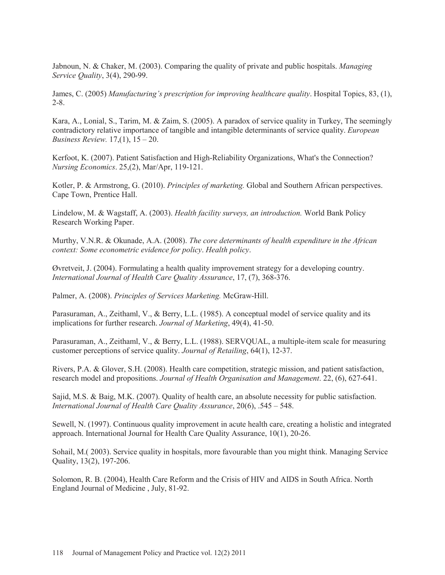Jabnoun, N. & Chaker, M. (2003). Comparing the quality of private and public hospitals. *Managing Service Quality*, 3(4), 290-99.

James, C. (2005) *Manufacturing's prescription for improving healthcare quality*. Hospital Topics, 83, (1), 2-8.

Kara, A., Lonial, S., Tarim, M. & Zaim, S. (2005). A paradox of service quality in Turkey, The seemingly contradictory relative importance of tangible and intangible determinants of service quality. *European Business Review.* 17,(1), 15 – 20.

Kerfoot, K. (2007). Patient Satisfaction and High-Reliability Organizations, What's the Connection? *Nursing Economics*. 25,(2), Mar/Apr, 119-121.

Kotler, P. & Armstrong, G. (2010). *Principles of marketing.* Global and Southern African perspectives. Cape Town, Prentice Hall.

Lindelow, M. & Wagstaff, A. (2003). *Health facility surveys, an introduction.* World Bank Policy Research Working Paper.

Murthy, V.N.R. & Okunade, A.A. (2008). *The core determinants of health expenditure in the African context: Some econometric evidence for policy*. *Health policy*.

Øvretveit, J. (2004). Formulating a health quality improvement strategy for a developing country. *International Journal of Health Care Quality Assurance*, 17, (7), 368-376.

Palmer, A. (2008). *Principles of Services Marketing.* McGraw-Hill.

Parasuraman, A., Zeithaml, V., & Berry, L.L. (1985). A conceptual model of service quality and its implications for further research. *Journal of Marketing*, 49(4), 41-50.

Parasuraman, A., Zeithaml, V., & Berry, L.L. (1988). SERVQUAL, a multiple-item scale for measuring customer perceptions of service quality. *Journal of Retailing*, 64(1), 12-37.

Rivers, P.A. & Glover, S.H. (2008). Health care competition, strategic mission, and patient satisfaction, research model and propositions. *Journal of Health Organisation and Management*. 22, (6), 627-641.

Sajid, M.S. & Baig, M.K. (2007). Quality of health care, an absolute necessity for public satisfaction. *International Journal of Health Care Quality Assurance*, 20(6), .545 – 548.

Sewell, N. (1997). Continuous quality improvement in acute health care, creating a holistic and integrated approach. International Journal for Health Care Quality Assurance, 10(1), 20-26.

Sohail, M.( 2003). Service quality in hospitals, more favourable than you might think. Managing Service Quality, 13(2), 197-206.

Solomon, R. B. (2004), Health Care Reform and the Crisis of HIV and AIDS in South Africa. North England Journal of Medicine , July, 81-92.